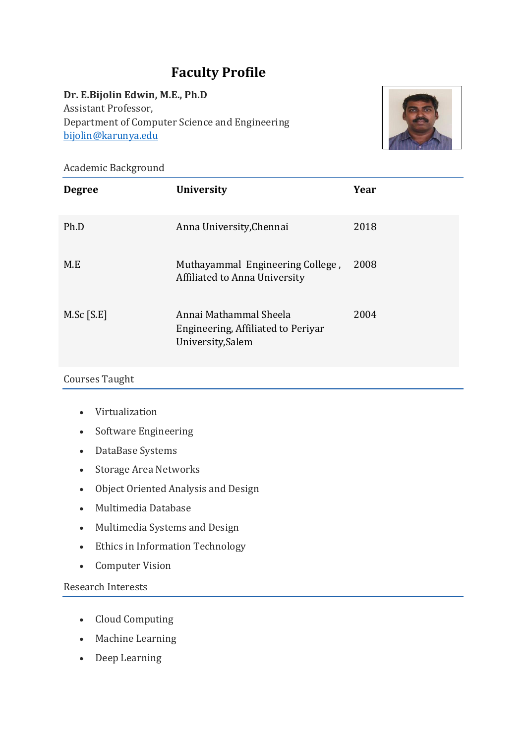# **Faculty Profile**

### **Dr. E.Bijolin Edwin, M.E., Ph.D**

Assistant Professor, Department of Computer Science and Engineering [bijolin@karunya.edu](mailto:bijolin@karunya.edu)



Academic Background

| <b>Degree</b> | <b>University</b>                                                                 | Year |
|---------------|-----------------------------------------------------------------------------------|------|
| Ph.D          | Anna University, Chennai                                                          | 2018 |
| M.E           | Muthayammal Engineering College,<br>Affiliated to Anna University                 | 2008 |
| $M.Sc$ [S.E]  | Annai Mathammal Sheela<br>Engineering, Affiliated to Periyar<br>University, Salem | 2004 |

#### Courses Taught

- Virtualization
- Software Engineering
- DataBase Systems
- Storage Area Networks
- Object Oriented Analysis and Design
- Multimedia Database
- Multimedia Systems and Design
- Ethics in Information Technology
- Computer Vision

## Research Interests

- Cloud Computing
- Machine Learning
- Deep Learning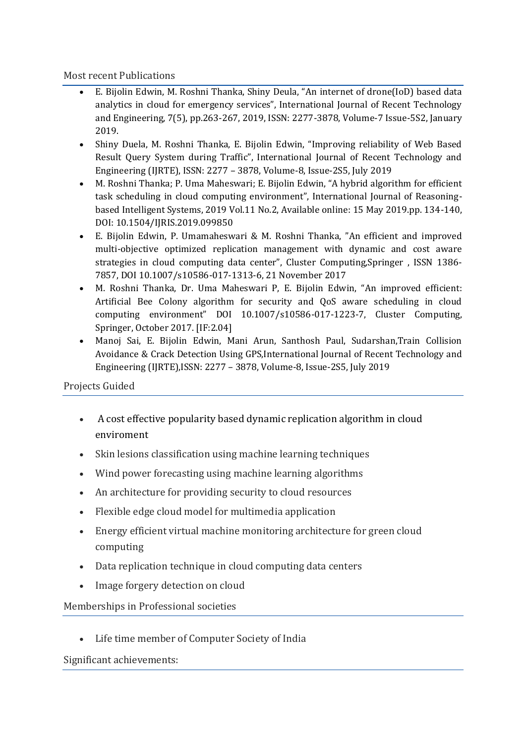#### Most recent Publications

- E. Bijolin Edwin, M. Roshni Thanka, Shiny Deula, "An internet of drone(IoD) based data analytics in cloud for emergency services", International Journal of Recent Technology and Engineering, 7(5), pp.263-267, 2019, ISSN: 2277-3878, Volume-7 Issue-5S2, January 2019.
- Shiny Duela, M. Roshni Thanka, E. Bijolin Edwin, "Improving reliability of Web Based Result Query System during Traffic", International Journal of Recent Technology and Engineering (IJRTE), ISSN: 2277 – 3878, Volume-8, Issue-2S5, July 2019
- M. Roshni Thanka; P. Uma Maheswari; E. Bijolin Edwin, "A hybrid algorithm for efficient task scheduling in cloud computing environment", International Journal of Reasoningbased Intelligent Systems, 2019 Vol.11 No.2, Available online: 15 May 2019.pp. 134-140, DOI: 10.1504/IJRIS.2019.099850
- E. Bijolin Edwin, P. Umamaheswari & M. Roshni Thanka, "An efficient and improved multi-objective optimized replication management with dynamic and cost aware strategies in cloud computing data center", Cluster Computing,Springer , ISSN 1386- 7857, DOI 10.1007/s10586-017-1313-6, 21 November 2017
- M. Roshni Thanka, Dr. Uma Maheswari P, E. Bijolin Edwin, "An improved efficient: Artificial Bee Colony algorithm for security and QoS aware scheduling in cloud computing environment" DOI 10.1007/s10586-017-1223-7, Cluster Computing, Springer, October 2017. [IF:2.04]
- Manoj Sai, E. Bijolin Edwin, Mani Arun, Santhosh Paul, Sudarshan,Train Collision Avoidance & Crack Detection Using GPS,International Journal of Recent Technology and Engineering (IJRTE),ISSN: 2277 – 3878, Volume-8, Issue-2S5, July 2019

## Projects Guided

- A cost effective popularity based dynamic replication algorithm in cloud enviroment
- Skin lesions classification using machine learning techniques
- Wind power forecasting using machine learning algorithms
- An architecture for providing security to cloud resources
- Flexible edge cloud model for multimedia application
- Energy efficient virtual machine monitoring architecture for green cloud computing
- Data replication technique in cloud computing data centers
- Image forgery detection on cloud

Memberships in Professional societies

• Life time member of Computer Society of India

Significant achievements: